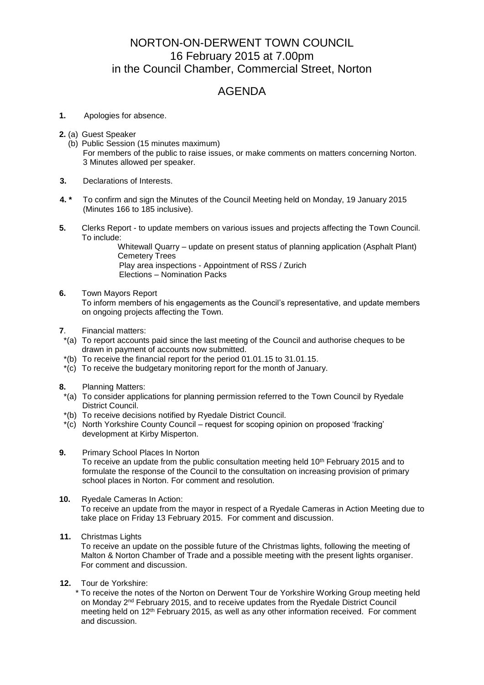## NORTON-ON-DERWENT TOWN COUNCIL 16 February 2015 at 7.00pm in the Council Chamber, Commercial Street, Norton

## AGENDA

- **1.** Apologies for absence.
- **2.** (a) Guest Speaker
	- (b) Public Session (15 minutes maximum) For members of the public to raise issues, or make comments on matters concerning Norton. 3 Minutes allowed per speaker.
- **3.** Declarations of Interests.
- **4. \*** To confirm and sign the Minutes of the Council Meeting held on Monday, 19 January 2015 (Minutes 166 to 185 inclusive).
- **5.** Clerks Report to update members on various issues and projects affecting the Town Council. To include:

Whitewall Quarry – update on present status of planning application (Asphalt Plant) Cemetery Trees

Play area inspections - Appointment of RSS / Zurich Elections – Nomination Packs

**6.** Town Mayors Report

 To inform members of his engagements as the Council's representative, and update members on ongoing projects affecting the Town.

- **7**. Financial matters:
- \*(a) To report accounts paid since the last meeting of the Council and authorise cheques to be drawn in payment of accounts now submitted.
- \*(b) To receive the financial report for the period 01.01.15 to 31.01.15.
- \*(c) To receive the budgetary monitoring report for the month of January.
- **8.** Planning Matters:
- \*(a) To consider applications for planning permission referred to the Town Council by Ryedale District Council.
- \*(b) To receive decisions notified by Ryedale District Council.
- \*(c) North Yorkshire County Council request for scoping opinion on proposed 'fracking' development at Kirby Misperton.
- **9.** Primary School Places In Norton

To receive an update from the public consultation meeting held 10th February 2015 and to formulate the response of the Council to the consultation on increasing provision of primary school places in Norton. For comment and resolution.

**10.** Ryedale Cameras In Action:

To receive an update from the mayor in respect of a Ryedale Cameras in Action Meeting due to take place on Friday 13 February 2015. For comment and discussion.

**11.** Christmas Lights

To receive an update on the possible future of the Christmas lights, following the meeting of Malton & Norton Chamber of Trade and a possible meeting with the present lights organiser. For comment and discussion.

**12.** Tour de Yorkshire:

 \* To receive the notes of the Norton on Derwent Tour de Yorkshire Working Group meeting held on Monday 2nd February 2015, and to receive updates from the Ryedale District Council meeting held on 12th February 2015, as well as any other information received. For comment and discussion.